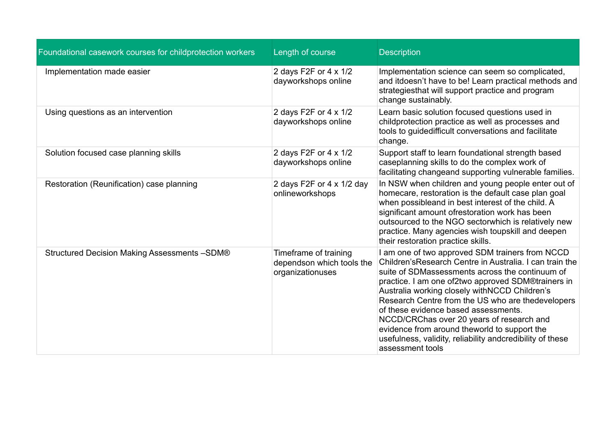| Foundational casework courses for childprotection workers | Length of course                                                       | <b>Description</b>                                                                                                                                                                                                                                                                                                                                                                                                                                                                                                                                |
|-----------------------------------------------------------|------------------------------------------------------------------------|---------------------------------------------------------------------------------------------------------------------------------------------------------------------------------------------------------------------------------------------------------------------------------------------------------------------------------------------------------------------------------------------------------------------------------------------------------------------------------------------------------------------------------------------------|
| Implementation made easier                                | 2 days F2F or $4 \times 1/2$<br>dayworkshops online                    | Implementation science can seem so complicated,<br>and itdoesn't have to be! Learn practical methods and<br>strategiesthat will support practice and program<br>change sustainably.                                                                                                                                                                                                                                                                                                                                                               |
| Using questions as an intervention                        | 2 days F2F or 4 x 1/2<br>dayworkshops online                           | Learn basic solution focused questions used in<br>childprotection practice as well as processes and<br>tools to guidedifficult conversations and facilitate<br>change.                                                                                                                                                                                                                                                                                                                                                                            |
| Solution focused case planning skills                     | 2 days F2F or $4 \times 1/2$<br>dayworkshops online                    | Support staff to learn foundational strength based<br>caseplanning skills to do the complex work of<br>facilitating changeand supporting vulnerable families.                                                                                                                                                                                                                                                                                                                                                                                     |
| Restoration (Reunification) case planning                 | 2 days F2F or 4 x 1/2 day<br>onlineworkshops                           | In NSW when children and young people enter out of<br>homecare, restoration is the default case plan goal<br>when possibleand in best interest of the child. A<br>significant amount ofrestoration work has been<br>outsourced to the NGO sectorwhich is relatively new<br>practice. Many agencies wish toupskill and deepen<br>their restoration practice skills.                                                                                                                                                                                |
| Structured Decision Making Assessments - SDM®             | Timeframe of training<br>dependson which tools the<br>organizationuses | I am one of two approved SDM trainers from NCCD<br>Children's Research Centre in Australia. I can train the<br>suite of SDMassessments across the continuum of<br>practice. I am one of2two approved SDM®trainers in<br>Australia working closely with NCCD Children's<br>Research Centre from the US who are thedevelopers<br>of these evidence based assessments.<br>NCCD/CRChas over 20 years of research and<br>evidence from around theworld to support the<br>usefulness, validity, reliability andcredibility of these<br>assessment tools |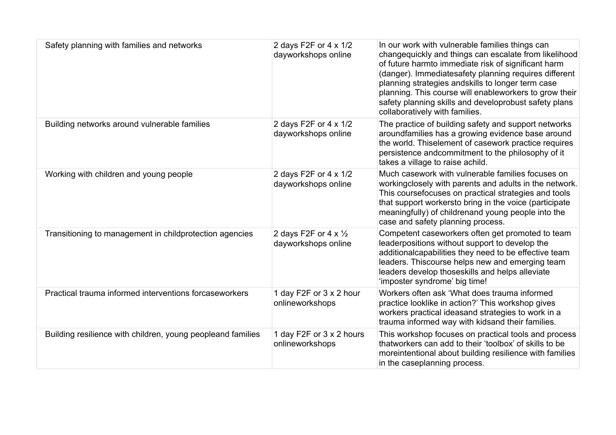| Safety planning with families and networks                  | 2 days F2F or $4 \times 1/2$<br>dayworkshops online    | In our work with vulnerable families things can<br>changequickly and things can escalate from likelihood<br>of future harmto immediate risk of significant harm<br>(danger). Immediatesafety planning requires different<br>planning strategies andskills to longer term case<br>planning. This course will enableworkers to grow their<br>safety planning skills and developrobust safety plans<br>collaboratively with families. |
|-------------------------------------------------------------|--------------------------------------------------------|------------------------------------------------------------------------------------------------------------------------------------------------------------------------------------------------------------------------------------------------------------------------------------------------------------------------------------------------------------------------------------------------------------------------------------|
| Building networks around vulnerable families                | 2 days F2F or $4 \times 1/2$<br>dayworkshops online    | The practice of building safety and support networks<br>aroundfamilies has a growing evidence base around<br>the world. Thiselement of casework practice requires<br>persistence andcommitment to the philosophy of it<br>takes a village to raise achild.                                                                                                                                                                         |
| Working with children and young people                      | 2 days F2F or 4 x 1/2<br>dayworkshops online           | Much casework with vulnerable families focuses on<br>workingclosely with parents and adults in the network.<br>This coursefocuses on practical strategies and tools<br>that support workersto bring in the voice (participate)<br>meaningfully) of childrenand young people into the<br>case and safety planning process.                                                                                                          |
| Transitioning to management in childprotection agencies     | 2 days F2F or 4 x $\frac{1}{2}$<br>dayworkshops online | Competent caseworkers often get promoted to team<br>leaderpositions without support to develop the<br>additionalcapabilities they need to be effective team<br>leaders. Thiscourse helps new and emerging team<br>leaders develop thoseskills and helps alleviate<br>'imposter syndrome' big time!                                                                                                                                 |
| Practical trauma informed interventions forcaseworkers      | 1 day F2F or 3 x 2 hour<br>onlineworkshops             | Workers often ask 'What does trauma informed<br>practice looklike in action?' This workshop gives<br>workers practical ideasand strategies to work in a<br>trauma informed way with kidsand their families.                                                                                                                                                                                                                        |
| Building resilience with children, young peopleand families | 1 day F2F or 3 x 2 hours<br>onlineworkshops            | This workshop focuses on practical tools and process<br>thatworkers can add to their 'toolbox' of skills to be<br>moreintentional about building resilience with families<br>in the caseplanning process.                                                                                                                                                                                                                          |